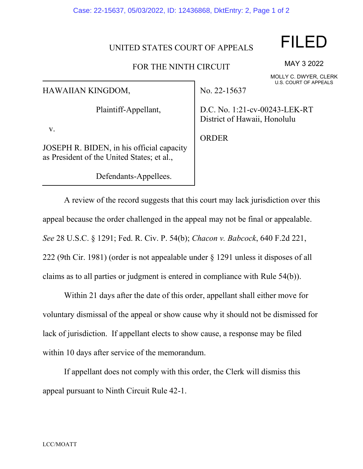#### Case: 22-15637, 05/03/2022, ID: 12436868, DktEntry: 2, Page 1 of 2

#### UNITED STATES COURT OF APPEALS

### FOR THE NINTH CIRCUIT

HAWAIIAN KINGDOM,

Plaintiff-Appellant,

v.

JOSEPH R. BIDEN, in his official capacity as President of the United States; et al.,

Defendants-Appellees.

No. 22-15637

D.C. No. 1:21-cv-00243-LEK-RT District of Hawaii, Honolulu

ORDER

A review of the record suggests that this court may lack jurisdiction over this appeal because the order challenged in the appeal may not be final or appealable. *See* 28 U.S.C. § 1291; Fed. R. Civ. P. 54(b); *Chacon v. Babcock*, 640 F.2d 221, 222 (9th Cir. 1981) (order is not appealable under § 1291 unless it disposes of all claims as to all parties or judgment is entered in compliance with Rule 54(b)).

Within 21 days after the date of this order, appellant shall either move for voluntary dismissal of the appeal or show cause why it should not be dismissed for lack of jurisdiction. If appellant elects to show cause, a response may be filed within 10 days after service of the memorandum.

If appellant does not comply with this order, the Clerk will dismiss this appeal pursuant to Ninth Circuit Rule 42-1.

# FILED

MAY 3 2022

MOLLY C. DWYER, CLERK U.S. COURT OF APPEALS